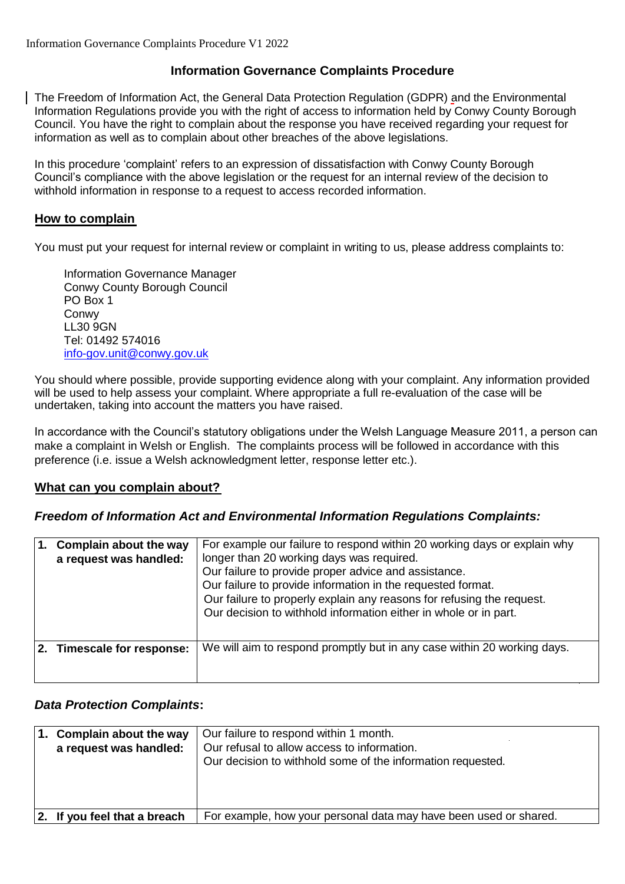# **Information Governance Complaints Procedure**

The Freedom of Information Act, the General Data Protection Regulation (GDPR) and the Environmental Information Regulations provide you with the right of access to information held by Conwy County Borough Council. You have the right to complain about the response you have received regarding your request for information as well as to complain about other breaches of the above legislations.

In this procedure 'complaint' refers to an expression of dissatisfaction with Conwy County Borough Council's compliance with the above legislation or the request for an internal review of the decision to withhold information in response to a request to access recorded information.

## **How to complain**

You must put your request for internal review or complaint in writing to us, please address complaints to:

Information Governance Manager Conwy County Borough Council PO Box 1 **Conwy** LL30 9GN Tel: 01492 574016 [info-gov.unit@conwy.gov.uk](mailto:info-gov.unit@conwy.gov.uk)

You should where possible, provide supporting evidence along with your complaint. Any information provided will be used to help assess your complaint. Where appropriate a full re-evaluation of the case will be undertaken, taking into account the matters you have raised.

In accordance with the Council's statutory obligations under the Welsh Language Measure 2011, a person can make a complaint in Welsh or English. The complaints process will be followed in accordance with this preference (i.e. issue a Welsh acknowledgment letter, response letter etc.).

#### **What can you complain about?**

#### *Freedom of Information Act and Environmental Information Regulations Complaints:*

| Complain about the way<br>a request was handled: | For example our failure to respond within 20 working days or explain why<br>longer than 20 working days was required.<br>Our failure to provide proper advice and assistance.<br>Our failure to provide information in the requested format.<br>Our failure to properly explain any reasons for refusing the request.<br>Our decision to withhold information either in whole or in part. |
|--------------------------------------------------|-------------------------------------------------------------------------------------------------------------------------------------------------------------------------------------------------------------------------------------------------------------------------------------------------------------------------------------------------------------------------------------------|
| 2. Timescale for response:                       | We will aim to respond promptly but in any case within 20 working days.                                                                                                                                                                                                                                                                                                                   |

#### *Data Protection Complaints***:**

| Complain about the way<br>a request was handled: | Our failure to respond within 1 month.<br>Our refusal to allow access to information.<br>Our decision to withhold some of the information requested. |
|--------------------------------------------------|------------------------------------------------------------------------------------------------------------------------------------------------------|
| 2. If you feel that a breach                     | For example, how your personal data may have been used or shared.                                                                                    |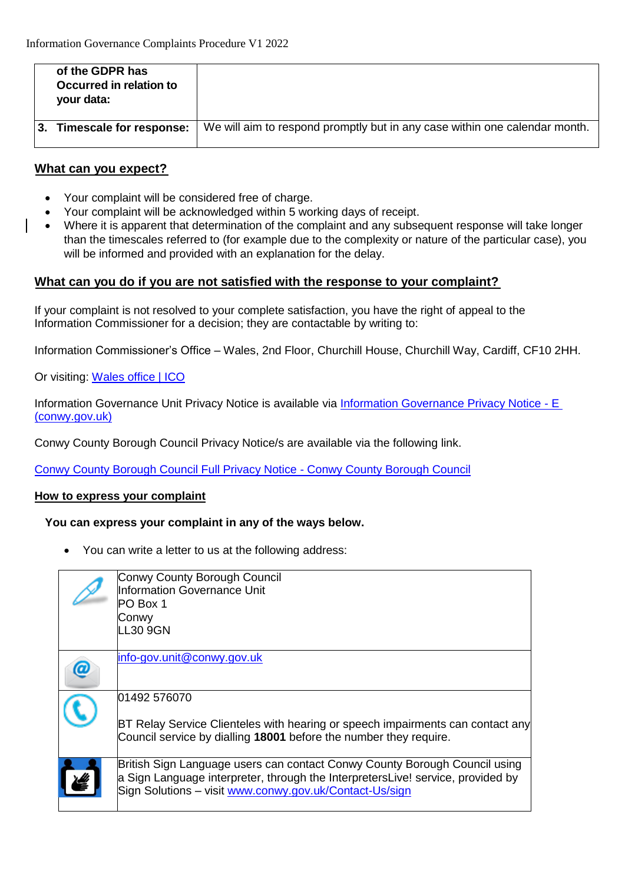| of the GDPR has<br>Occurred in relation to<br>your data: |                                                                            |
|----------------------------------------------------------|----------------------------------------------------------------------------|
| Timescale for response:                                  | We will aim to respond promptly but in any case within one calendar month. |

### **What can you expect?**

- Your complaint will be considered free of charge.
- Your complaint will be acknowledged within 5 working days of receipt.
- Where it is apparent that determination of the complaint and any subsequent response will take longer than the timescales referred to (for example due to the complexity or nature of the particular case), you will be informed and provided with an explanation for the delay.

## **What can you do if you are not satisfied with the response to your complaint?**

If your complaint is not resolved to your complete satisfaction, you have the right of appeal to the Information Commissioner for a decision; they are contactable by writing to:

Information Commissioner's Office – Wales, 2nd Floor, Churchill House, Churchill Way, Cardiff, CF10 2HH.

Or visiting: [Wales office | ICO](https://ico.org.uk/about-the-ico/who-we-are/wales-office/)

Information Governance Unit Privacy Notice is available via [Information Governance Privacy Notice -](https://www.conwy.gov.uk/en/Council/Access-to-Information/Privacy-Notices/assets/documents/Information-Governance-Privacy-Notice-E.pdf) E [\(conwy.gov.uk\)](https://www.conwy.gov.uk/en/Council/Access-to-Information/Privacy-Notices/assets/documents/Information-Governance-Privacy-Notice-E.pdf)

Conwy County Borough Council Privacy Notice/s are available via the following link.

Conwy [County Borough Council Full Privacy Notice -](https://www.conwy.gov.uk/en/Council/Access-to-Information/Privacy-Notices/How-Conwy-County-Borough-Council-uses-your-Information.aspx) Conwy County Borough Council

#### **How to express your complaint**

#### **You can express your complaint in any of the ways below.**

You can write a letter to us at the following address:

| Conwy County Borough Council<br>Information Governance Unit<br>PO Box 1<br>Conwy<br><b>LL30 9GN</b>                                                                                                                      |
|--------------------------------------------------------------------------------------------------------------------------------------------------------------------------------------------------------------------------|
| info-gov.unit@conwy.gov.uk                                                                                                                                                                                               |
| 01492 576070<br>BT Relay Service Clienteles with hearing or speech impairments can contact any<br>Council service by dialling 18001 before the number they require.                                                      |
| British Sign Language users can contact Conwy County Borough Council using<br>a Sign Language interpreter, through the InterpretersLive! service, provided by<br>Sign Solutions - visit www.conwy.gov.uk/Contact-Us/sign |